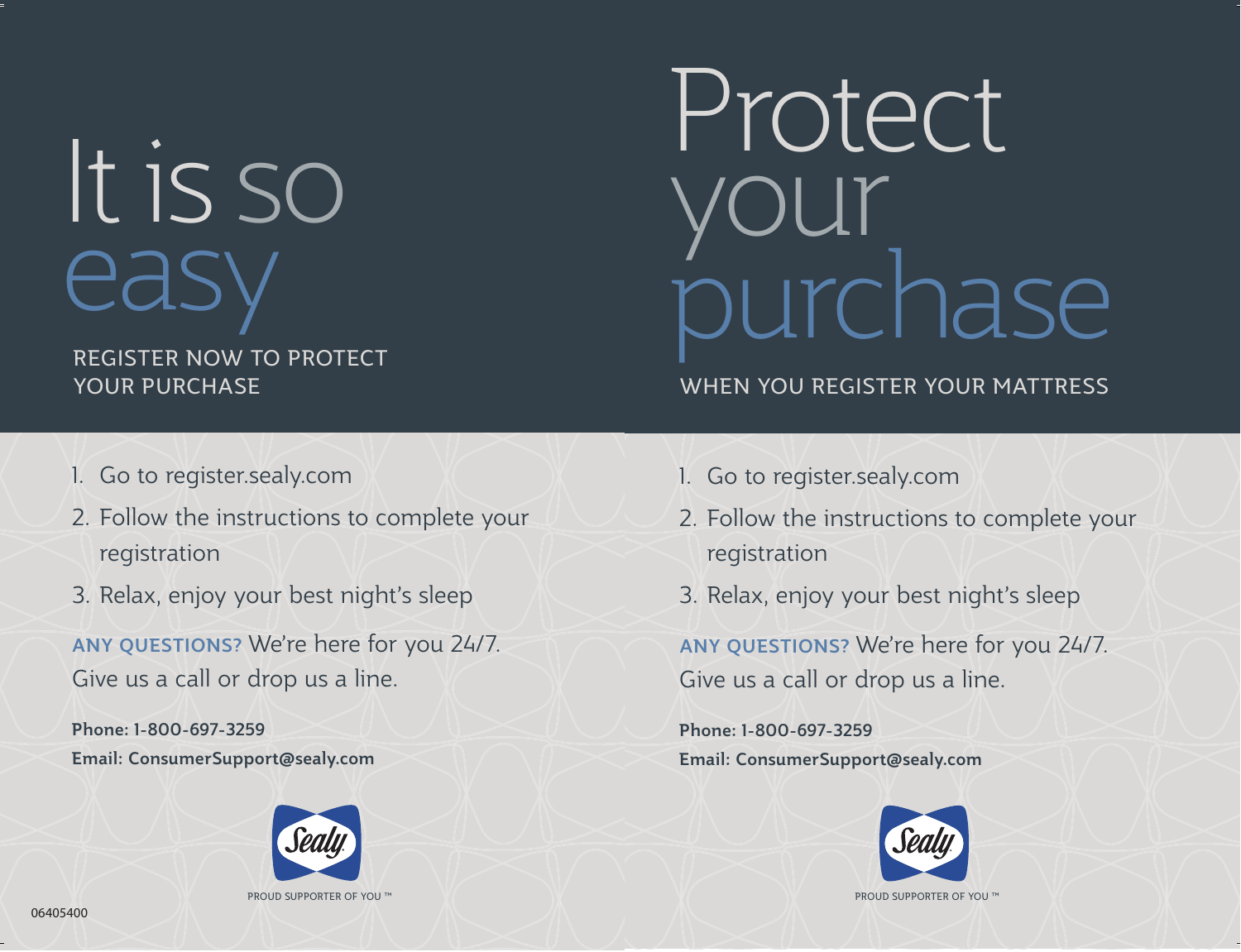# It is so easy

## REGISTER NOW TO PROTECT YOUR PURCHASE

## Protect your purchase

## WHEN YOU REGISTER YOUR MATTRESS

- 1. Go to register.sealy.com
- 2. Follow the instructions to complete your registration
- 3. Relax, enjoy your best night's sleep

ANY QUESTIONS? We're here for you 24/7. Give us a call or drop us a line.

Phone: 1-800-697-3259 Email: ConsumerSupport@sealy.com



PROUD SUPPORTER OF YOU ™

- 1. Go to register.sealy.com
- 2. Follow the instructions to complete your registration
- 3. Relax, enjoy your best night's sleep

ANY QUESTIONS? We're here for you 24/7. Give us a call or drop us a line.

Phone: 1-800-697-3259 Email: ConsumerSupport@sealy.com



PROUD SUPPORTER OF YOU ™

06405400